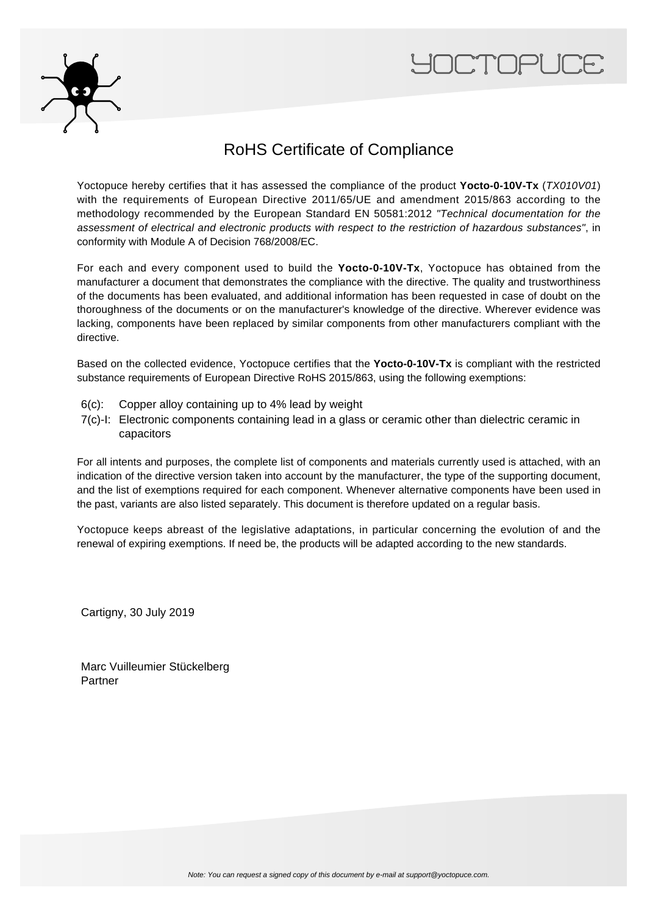



## RoHS Certificate of Compliance

Yoctopuce hereby certifies that it has assessed the compliance of the product **Yocto-0-10V-Tx** (TX010V01) with the requirements of European Directive 2011/65/UE and amendment 2015/863 according to the methodology recommended by the European Standard EN 50581:2012 "Technical documentation for the assessment of electrical and electronic products with respect to the restriction of hazardous substances", in conformity with Module A of Decision 768/2008/EC.

For each and every component used to build the **Yocto-0-10V-Tx**, Yoctopuce has obtained from the manufacturer a document that demonstrates the compliance with the directive. The quality and trustworthiness of the documents has been evaluated, and additional information has been requested in case of doubt on the thoroughness of the documents or on the manufacturer's knowledge of the directive. Wherever evidence was lacking, components have been replaced by similar components from other manufacturers compliant with the directive.

Based on the collected evidence, Yoctopuce certifies that the **Yocto-0-10V-Tx** is compliant with the restricted substance requirements of European Directive RoHS 2015/863, using the following exemptions:

- 6(c): Copper alloy containing up to 4% lead by weight
- 7(c)-I: Electronic components containing lead in a glass or ceramic other than dielectric ceramic in capacitors

For all intents and purposes, the complete list of components and materials currently used is attached, with an indication of the directive version taken into account by the manufacturer, the type of the supporting document, and the list of exemptions required for each component. Whenever alternative components have been used in the past, variants are also listed separately. This document is therefore updated on a regular basis.

Yoctopuce keeps abreast of the legislative adaptations, in particular concerning the evolution of and the renewal of expiring exemptions. If need be, the products will be adapted according to the new standards.

Cartigny, 30 July 2019

Marc Vuilleumier Stückelberg Partner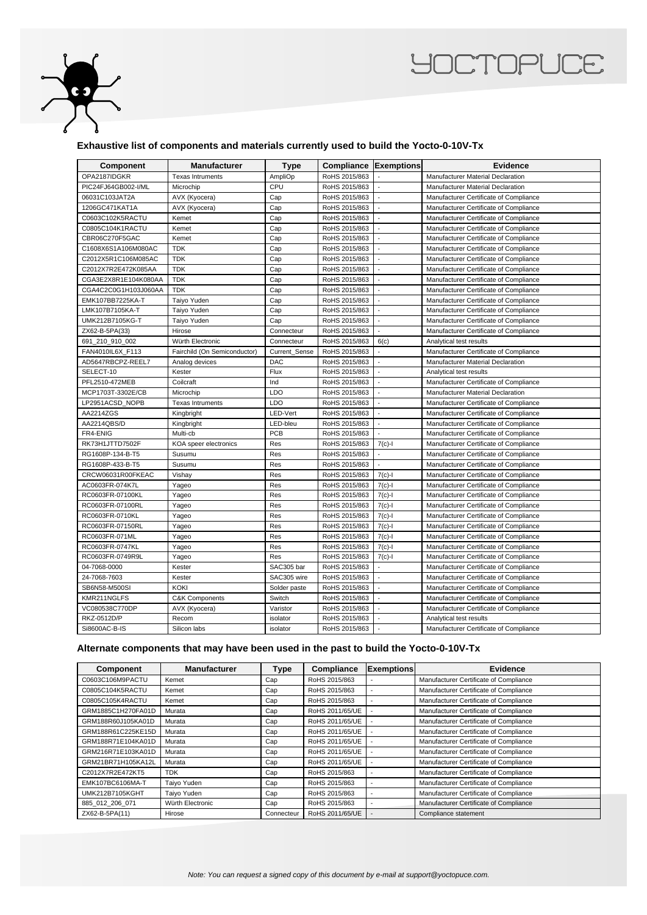

## **YOCTOPUCE**

## **Exhaustive list of components and materials currently used to build the Yocto-0-10V-Tx**

| Component            | Manufacturer                 | Type                 | <b>Compliance Exemptions</b> |                          | Evidence                                 |
|----------------------|------------------------------|----------------------|------------------------------|--------------------------|------------------------------------------|
| OPA2187IDGKR         | <b>Texas Intruments</b>      | AmpliOp              | RoHS 2015/863                |                          | <b>Manufacturer Material Declaration</b> |
| PIC24FJ64GB002-I/ML  | Microchip                    | CPU                  | RoHS 2015/863                |                          | Manufacturer Material Declaration        |
| 06031C103JAT2A       | AVX (Kyocera)                | Cap                  | RoHS 2015/863                |                          | Manufacturer Certificate of Compliance   |
| 1206GC471KAT1A       | AVX (Kyocera)                | Cap                  | RoHS 2015/863                |                          | Manufacturer Certificate of Compliance   |
| C0603C102K5RACTU     | Kemet                        | Cap                  | RoHS 2015/863                | $\overline{\phantom{a}}$ | Manufacturer Certificate of Compliance   |
| C0805C104K1RACTU     | Kemet                        | Cap                  | RoHS 2015/863                |                          | Manufacturer Certificate of Compliance   |
| CBR06C270F5GAC       | Kemet                        | Cap                  | RoHS 2015/863                |                          | Manufacturer Certificate of Compliance   |
| C1608X6S1A106M080AC  | <b>TDK</b>                   | Cap                  | RoHS 2015/863                |                          | Manufacturer Certificate of Compliance   |
| C2012X5R1C106M085AC  | <b>TDK</b>                   | Cap                  | RoHS 2015/863                | $\blacksquare$           | Manufacturer Certificate of Compliance   |
| C2012X7R2E472K085AA  | <b>TDK</b>                   | Cap                  | RoHS 2015/863                |                          | Manufacturer Certificate of Compliance   |
| CGA3E2X8R1E104K080AA | <b>TDK</b>                   | Cap                  | RoHS 2015/863                |                          | Manufacturer Certificate of Compliance   |
| CGA4C2C0G1H103J060AA | <b>TDK</b>                   | Cap                  | RoHS 2015/863                |                          | Manufacturer Certificate of Compliance   |
| EMK107BB7225KA-T     | Taiyo Yuden                  | Cap                  | RoHS 2015/863                |                          | Manufacturer Certificate of Compliance   |
| LMK107B7105KA-T      | Taiyo Yuden                  | Cap                  | RoHS 2015/863                |                          | Manufacturer Certificate of Compliance   |
| UMK212B7105KG-T      | Taiyo Yuden                  | Cap                  | RoHS 2015/863                |                          | Manufacturer Certificate of Compliance   |
| ZX62-B-5PA(33)       | Hirose                       | Connecteur           | RoHS 2015/863                |                          | Manufacturer Certificate of Compliance   |
| 691_210_910_002      | Würth Electronic             | Connecteur           | RoHS 2015/863                | 6(c)                     | Analytical test results                  |
| FAN4010IL6X_F113     | Fairchild (On Semiconductor) | <b>Current Sense</b> | RoHS 2015/863                | $\Box$                   | Manufacturer Certificate of Compliance   |
| AD5647RBCPZ-REEL7    | Analog devices               | <b>DAC</b>           | RoHS 2015/863                |                          | Manufacturer Material Declaration        |
| SELECT-10            | Kester                       | Flux                 | RoHS 2015/863                |                          | Analytical test results                  |
| PFL2510-472MEB       | Coilcraft                    | Ind                  | RoHS 2015/863                |                          | Manufacturer Certificate of Compliance   |
| MCP1703T-3302E/CB    | Microchip                    | LDO                  | RoHS 2015/863                | $\blacksquare$           | Manufacturer Material Declaration        |
| LP2951ACSD_NOPB      | <b>Texas Intruments</b>      | LDO                  | RoHS 2015/863                |                          | Manufacturer Certificate of Compliance   |
| AA2214ZGS            | Kingbright                   | LED-Vert             | RoHS 2015/863                |                          | Manufacturer Certificate of Compliance   |
| AA2214QBS/D          | Kingbright                   | LED-bleu             | RoHS 2015/863                |                          | Manufacturer Certificate of Compliance   |
| FR4-ENIG             | Multi-cb                     | PCB                  | RoHS 2015/863                |                          | Manufacturer Certificate of Compliance   |
| RK73H1JTTD7502F      | KOA speer electronics        | Res                  | RoHS 2015/863                | $7(c)-1$                 | Manufacturer Certificate of Compliance   |
| RG1608P-134-B-T5     | Susumu                       | Res                  | RoHS 2015/863                |                          | Manufacturer Certificate of Compliance   |
| RG1608P-433-B-T5     | Susumu                       | Res                  | RoHS 2015/863                |                          | Manufacturer Certificate of Compliance   |
| CRCW06031R00FKEAC    | Vishay                       | Res                  | RoHS 2015/863                | $7(c)-1$                 | Manufacturer Certificate of Compliance   |
| AC0603FR-074K7L      | Yageo                        | Res                  | RoHS 2015/863                | $7(c)-1$                 | Manufacturer Certificate of Compliance   |
| RC0603FR-07100KL     | Yageo                        | Res                  | RoHS 2015/863                | $7(c) - 1$               | Manufacturer Certificate of Compliance   |
| RC0603FR-07100RL     | Yageo                        | Res                  | RoHS 2015/863                | $7(c) - 1$               | Manufacturer Certificate of Compliance   |
| RC0603FR-0710KL      | Yageo                        | Res                  | RoHS 2015/863                | $7(c)-1$                 | Manufacturer Certificate of Compliance   |
| RC0603FR-07150RL     | Yageo                        | Res                  | RoHS 2015/863                | $7(c)-1$                 | Manufacturer Certificate of Compliance   |
| RC0603FR-071ML       | Yageo                        | Res                  | RoHS 2015/863                | $7(c) - 1$               | Manufacturer Certificate of Compliance   |
| RC0603FR-0747KL      | Yageo                        | Res                  | RoHS 2015/863                | $7(c)-1$                 | Manufacturer Certificate of Compliance   |
| RC0603FR-0749R9L     | Yageo                        | Res                  | RoHS 2015/863                | $7(c) - 1$               | Manufacturer Certificate of Compliance   |
| 04-7068-0000         | Kester                       | SAC305 bar           | RoHS 2015/863                |                          | Manufacturer Certificate of Compliance   |
| 24-7068-7603         | Kester                       | SAC305 wire          | RoHS 2015/863                | $\overline{\phantom{a}}$ | Manufacturer Certificate of Compliance   |
| SB6N58-M500SI        | <b>KOKI</b>                  | Solder paste         | RoHS 2015/863                |                          | Manufacturer Certificate of Compliance   |
| KMR211NGLFS          | <b>C&amp;K Components</b>    | Switch               | RoHS 2015/863                |                          | Manufacturer Certificate of Compliance   |
| VC080538C770DP       | AVX (Kyocera)                | Varistor             | RoHS 2015/863                |                          | Manufacturer Certificate of Compliance   |
| RKZ-0512D/P          | Recom                        | isolator             | RoHS 2015/863                |                          | Analytical test results                  |
| Si8600AC-B-IS        | Silicon labs                 | isolator             | RoHS 2015/863                |                          | Manufacturer Certificate of Compliance   |

## **Alternate components that may have been used in the past to build the Yocto-0-10V-Tx**

| Component          | <b>Manufacturer</b> | <b>Type</b> | Compliance      | <b>Exemptions</b> | Evidence                               |
|--------------------|---------------------|-------------|-----------------|-------------------|----------------------------------------|
| C0603C106M9PACTU   | Kemet               | Cap         | RoHS 2015/863   |                   | Manufacturer Certificate of Compliance |
| C0805C104K5RACTU   | Kemet               | Cap         | RoHS 2015/863   |                   | Manufacturer Certificate of Compliance |
| C0805C105K4RACTU   | Kemet               | Cap         | RoHS 2015/863   |                   | Manufacturer Certificate of Compliance |
| GRM1885C1H270FA01D | Murata              | Cap         | RoHS 2011/65/UE |                   | Manufacturer Certificate of Compliance |
| GRM188R60J105KA01D | Murata              | Cap         | RoHS 2011/65/UE |                   | Manufacturer Certificate of Compliance |
| GRM188R61C225KE15D | Murata              | Cap         | RoHS 2011/65/UE |                   | Manufacturer Certificate of Compliance |
| GRM188R71E104KA01D | Murata              | Cap         | RoHS 2011/65/UE |                   | Manufacturer Certificate of Compliance |
| GRM216R71E103KA01D | Murata              | Cap         | RoHS 2011/65/UE |                   | Manufacturer Certificate of Compliance |
| GRM21BR71H105KA12L | Murata              | Cap         | RoHS 2011/65/UE |                   | Manufacturer Certificate of Compliance |
| C2012X7R2E472KT5   | <b>TDK</b>          | Cap         | RoHS 2015/863   |                   | Manufacturer Certificate of Compliance |
| EMK107BC6106MA-T   | Taivo Yuden         | Cap         | RoHS 2015/863   |                   | Manufacturer Certificate of Compliance |
| UMK212B7105KGHT    | Taiyo Yuden         | Cap         | RoHS 2015/863   |                   | Manufacturer Certificate of Compliance |
| 885 012 206 071    | Würth Electronic    | Cap         | RoHS 2015/863   |                   | Manufacturer Certificate of Compliance |
| ZX62-B-5PA(11)     | Hirose              | Connecteur  | RoHS 2011/65/UE |                   | Compliance statement                   |